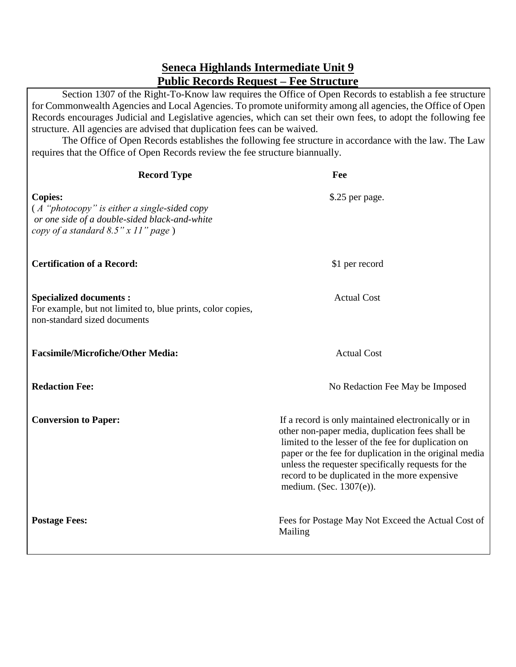## **Seneca Highlands Intermediate Unit 9 Public Records Request – Fee Structure**

Section 1307 of the Right-To-Know law requires the Office of Open Records to establish a fee structure for Commonwealth Agencies and Local Agencies. To promote uniformity among all agencies, the Office of Open Records encourages Judicial and Legislative agencies, which can set their own fees, to adopt the following fee structure. All agencies are advised that duplication fees can be waived.

The Office of Open Records establishes the following fee structure in accordance with the law. The Law requires that the Office of Open Records review the fee structure biannually.

| <b>Record Type</b>                                                                                                                                          | Fee                                                                                                                                                                                                                                                                                                                                                        |
|-------------------------------------------------------------------------------------------------------------------------------------------------------------|------------------------------------------------------------------------------------------------------------------------------------------------------------------------------------------------------------------------------------------------------------------------------------------------------------------------------------------------------------|
| <b>Copies:</b><br>$(A$ "photocopy" is either a single-sided copy<br>or one side of a double-sided black-and-white<br>copy of a standard $8.5$ " x 11" page) | \$.25 per page.                                                                                                                                                                                                                                                                                                                                            |
| <b>Certification of a Record:</b>                                                                                                                           | \$1 per record                                                                                                                                                                                                                                                                                                                                             |
| <b>Specialized documents:</b><br>For example, but not limited to, blue prints, color copies,<br>non-standard sized documents                                | <b>Actual Cost</b>                                                                                                                                                                                                                                                                                                                                         |
| <b>Facsimile/Microfiche/Other Media:</b>                                                                                                                    | <b>Actual Cost</b>                                                                                                                                                                                                                                                                                                                                         |
| <b>Redaction Fee:</b>                                                                                                                                       | No Redaction Fee May be Imposed                                                                                                                                                                                                                                                                                                                            |
| <b>Conversion to Paper:</b>                                                                                                                                 | If a record is only maintained electronically or in<br>other non-paper media, duplication fees shall be<br>limited to the lesser of the fee for duplication on<br>paper or the fee for duplication in the original media<br>unless the requester specifically requests for the<br>record to be duplicated in the more expensive<br>medium. (Sec. 1307(e)). |
| <b>Postage Fees:</b>                                                                                                                                        | Fees for Postage May Not Exceed the Actual Cost of<br>Mailing                                                                                                                                                                                                                                                                                              |